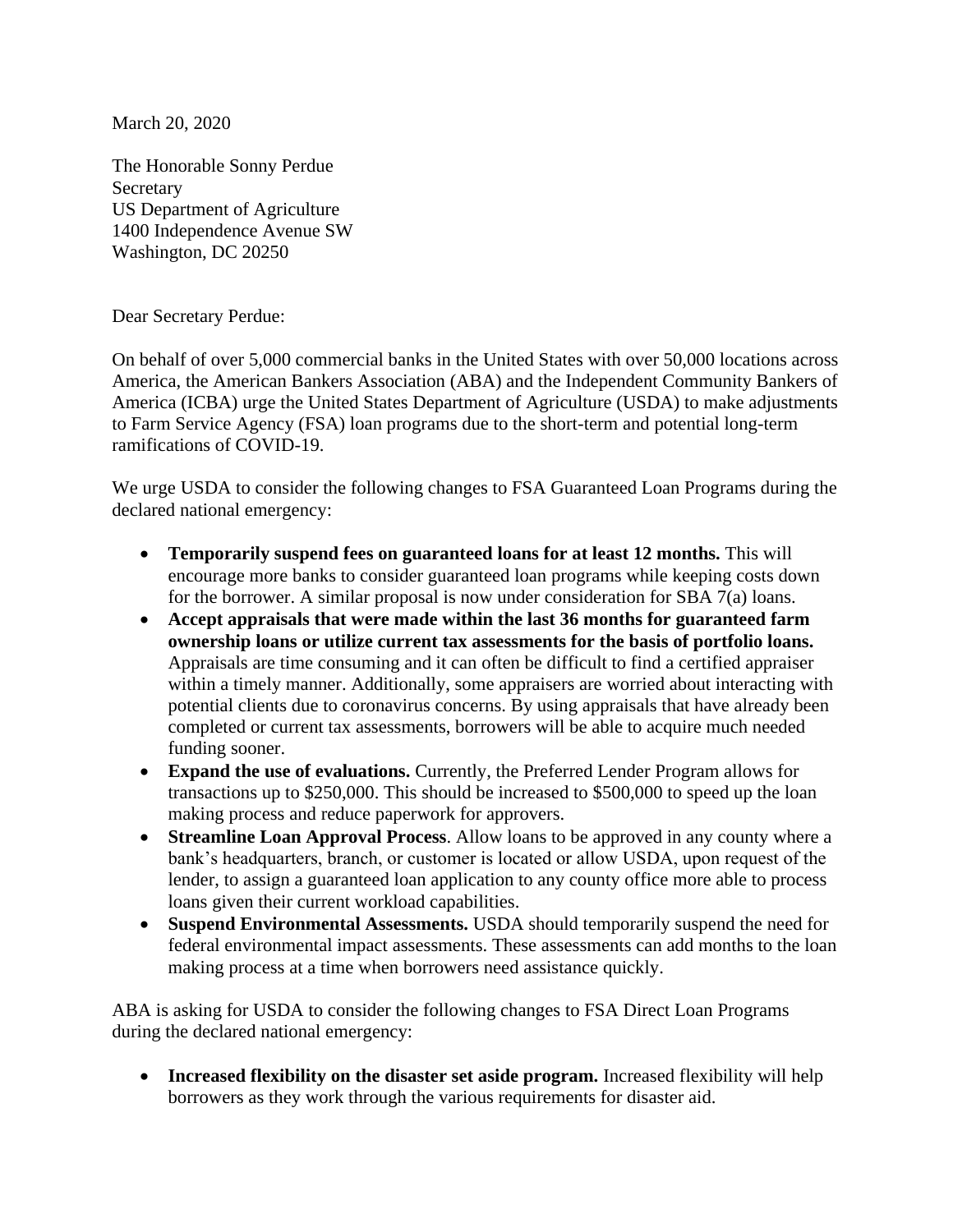March 20, 2020

The Honorable Sonny Perdue Secretary US Department of Agriculture 1400 Independence Avenue SW Washington, DC 20250

Dear Secretary Perdue:

On behalf of over 5,000 commercial banks in the United States with over 50,000 locations across America, the American Bankers Association (ABA) and the Independent Community Bankers of America (ICBA) urge the United States Department of Agriculture (USDA) to make adjustments to Farm Service Agency (FSA) loan programs due to the short-term and potential long-term ramifications of COVID-19.

We urge USDA to consider the following changes to FSA Guaranteed Loan Programs during the declared national emergency:

- **Temporarily suspend fees on guaranteed loans for at least 12 months.** This will encourage more banks to consider guaranteed loan programs while keeping costs down for the borrower. A similar proposal is now under consideration for SBA 7(a) loans.
- **Accept appraisals that were made within the last 36 months for guaranteed farm ownership loans or utilize current tax assessments for the basis of portfolio loans.**  Appraisals are time consuming and it can often be difficult to find a certified appraiser within a timely manner. Additionally, some appraisers are worried about interacting with potential clients due to coronavirus concerns. By using appraisals that have already been completed or current tax assessments, borrowers will be able to acquire much needed funding sooner.
- **Expand the use of evaluations.** Currently, the Preferred Lender Program allows for transactions up to \$250,000. This should be increased to \$500,000 to speed up the loan making process and reduce paperwork for approvers.
- **Streamline Loan Approval Process**. Allow loans to be approved in any county where a bank's headquarters, branch, or customer is located or allow USDA, upon request of the lender, to assign a guaranteed loan application to any county office more able to process loans given their current workload capabilities.
- **Suspend Environmental Assessments.** USDA should temporarily suspend the need for federal environmental impact assessments. These assessments can add months to the loan making process at a time when borrowers need assistance quickly.

ABA is asking for USDA to consider the following changes to FSA Direct Loan Programs during the declared national emergency:

• **Increased flexibility on the disaster set aside program.** Increased flexibility will help borrowers as they work through the various requirements for disaster aid.